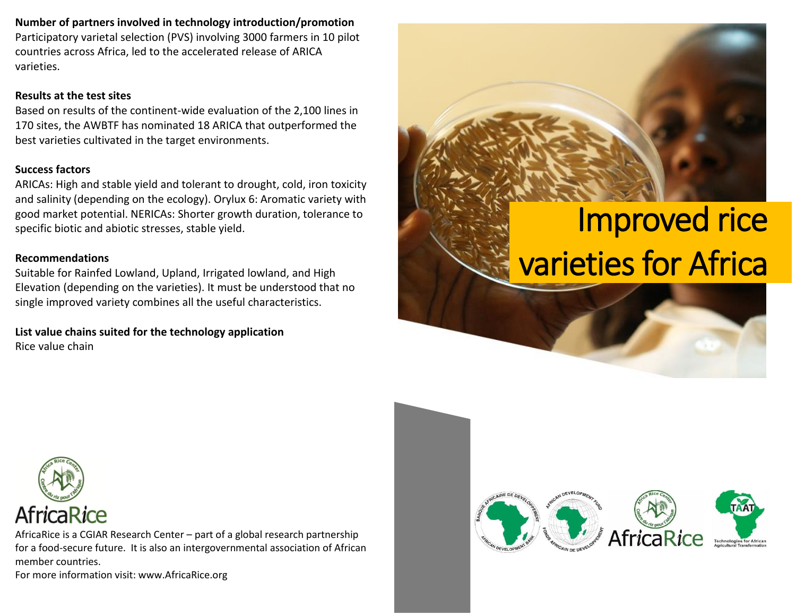**Number of partners involved in technology introduction/promotion**

Participatory varietal selection (PVS) involving 3000 farmers in 10 pilot countries across Africa, led to the accelerated release of ARICA varieties.

### **Results at the test sites**

Based on results of the continent-wide evaluation of the 2,100 lines in 170 sites, the AWBTF has nominated 18 ARICA that outperformed the best varieties cultivated in the target environments.

### **Success factors**

ARICAs: High and stable yield and tolerant to drought, cold, iron toxicity and salinity (depending on the ecology). Orylux 6: Aromatic variety with good market potential. NERICAs: Shorter growth duration, tolerance to specific biotic and abiotic stresses, stable yield.

### **Recommendations**

Suitable for Rainfed Lowland, Upland, Irrigated lowland, and High Elevation (depending on the varieties). It must be understood that no single improved variety combines all the useful characteristics.

**List value chains suited for the technology application** Rice value chain

# Improved rice varieties for Africa



AfricaRice is a CGIAR Research Center – part of a global research partnership for a food-secure future. It is also an intergovernmental association of African member countries.

For more information visit: www.AfricaRice.org